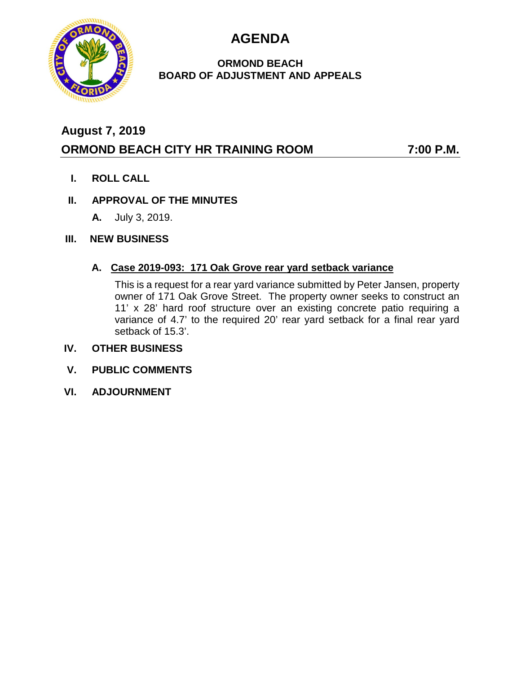**AGENDA**



### **ORMOND BEACH BOARD OF ADJUSTMENT AND APPEALS**

# **August 7, 2019 ORMOND BEACH CITY HR TRAINING ROOM 7:00 P.M.**

**I. ROLL CALL**

# **II. APPROVAL OF THE MINUTES**

**A.** July 3, 2019.

# **III. NEW BUSINESS**

# **A. Case 2019-093: 171 Oak Grove rear yard setback variance**

This is a request for a rear yard variance submitted by Peter Jansen, property owner of 171 Oak Grove Street. The property owner seeks to construct an 11' x 28' hard roof structure over an existing concrete patio requiring a variance of 4.7' to the required 20' rear yard setback for a final rear yard setback of 15.3'.

### **IV. OTHER BUSINESS**

- **V. PUBLIC COMMENTS**
- **VI. ADJOURNMENT**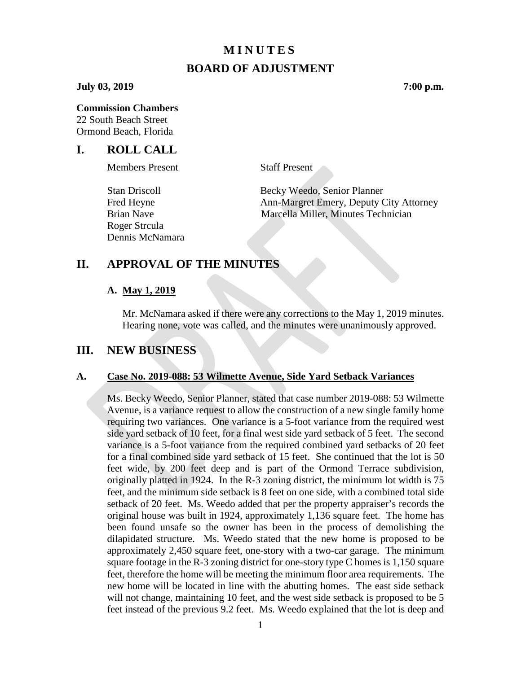### **MINUTES**

### **BOARD OF ADJUSTMENT**

#### **July 03, 2019 7:00 p.m.**

#### **Commission Chambers**

22 South Beach Street Ormond Beach, Florida

### **I. ROLL CALL**

Members Present Staff Present

Roger Strcula Dennis McNamara

Stan Driscoll Becky Weedo, Senior Planner Fred Heyne **Ann-Margret Emery, Deputy City Attorney** Brian Nave Marcella Miller, Minutes Technician

### **II. APPROVAL OF THE MINUTES**

#### **A. May 1, 2019**

Mr. McNamara asked if there were any corrections to the May 1, 2019 minutes. Hearing none, vote was called, and the minutes were unanimously approved.

### **III. NEW BUSINESS**

### **A. Case No. 2019-088: 53 Wilmette Avenue, Side Yard Setback Variances**

Ms. Becky Weedo, Senior Planner, stated that case number 2019-088: 53 Wilmette Avenue, is a variance request to allow the construction of a new single family home requiring two variances. One variance is a 5-foot variance from the required west side yard setback of 10 feet, for a final west side yard setback of 5 feet. The second variance is a 5-foot variance from the required combined yard setbacks of 20 feet for a final combined side yard setback of 15 feet. She continued that the lot is 50 feet wide, by 200 feet deep and is part of the Ormond Terrace subdivision, originally platted in 1924. In the R-3 zoning district, the minimum lot width is 75 feet, and the minimum side setback is 8 feet on one side, with a combined total side setback of 20 feet. Ms. Weedo added that per the property appraiser's records the original house was built in 1924, approximately 1,136 square feet. The home has been found unsafe so the owner has been in the process of demolishing the dilapidated structure. Ms. Weedo stated that the new home is proposed to be approximately 2,450 square feet, one-story with a two-car garage. The minimum square footage in the R-3 zoning district for one-story type C homes is 1,150 square feet, therefore the home will be meeting the minimum floor area requirements. The new home will be located in line with the abutting homes. The east side setback will not change, maintaining 10 feet, and the west side setback is proposed to be 5 feet instead of the previous 9.2 feet. Ms. Weedo explained that the lot is deep and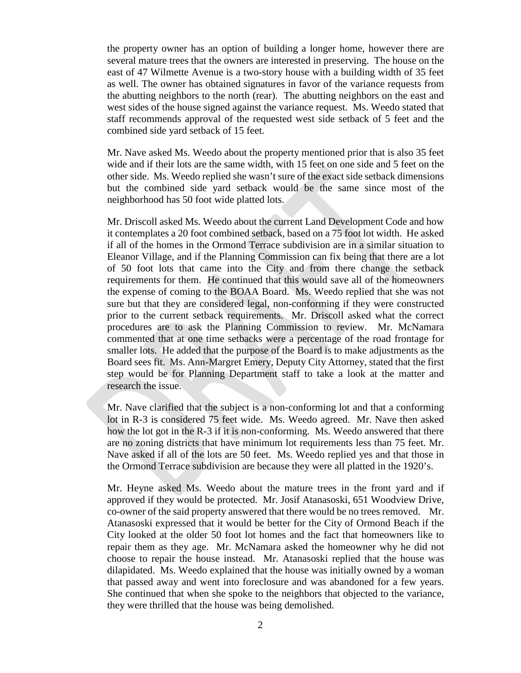the property owner has an option of building a longer home, however there are several mature trees that the owners are interested in preserving. The house on the east of 47 Wilmette Avenue is a two-story house with a building width of 35 feet as well. The owner has obtained signatures in favor of the variance requests from the abutting neighbors to the north (rear). The abutting neighbors on the east and west sides of the house signed against the variance request. Ms. Weedo stated that staff recommends approval of the requested west side setback of 5 feet and the combined side yard setback of 15 feet.

Mr. Nave asked Ms. Weedo about the property mentioned prior that is also 35 feet wide and if their lots are the same width, with 15 feet on one side and 5 feet on the other side. Ms. Weedo replied she wasn't sure of the exact side setback dimensions but the combined side yard setback would be the same since most of the neighborhood has 50 foot wide platted lots.

Mr. Driscoll asked Ms. Weedo about the current Land Development Code and how it contemplates a 20 foot combined setback, based on a 75 foot lot width. He asked if all of the homes in the Ormond Terrace subdivision are in a similar situation to Eleanor Village, and if the Planning Commission can fix being that there are a lot of 50 foot lots that came into the City and from there change the setback requirements for them. He continued that this would save all of the homeowners the expense of coming to the BOAA Board. Ms. Weedo replied that she was not sure but that they are considered legal, non-conforming if they were constructed prior to the current setback requirements. Mr. Driscoll asked what the correct procedures are to ask the Planning Commission to review. Mr. McNamara commented that at one time setbacks were a percentage of the road frontage for smaller lots. He added that the purpose of the Board is to make adjustments as the Board sees fit. Ms. Ann-Margret Emery, Deputy City Attorney, stated that the first step would be for Planning Department staff to take a look at the matter and research the issue.

Mr. Nave clarified that the subject is a non-conforming lot and that a conforming lot in R-3 is considered 75 feet wide. Ms. Weedo agreed. Mr. Nave then asked how the lot got in the R-3 if it is non-conforming. Ms. Weedo answered that there are no zoning districts that have minimum lot requirements less than 75 feet. Mr. Nave asked if all of the lots are 50 feet. Ms. Weedo replied yes and that those in the Ormond Terrace subdivision are because they were all platted in the 1920's.

Mr. Heyne asked Ms. Weedo about the mature trees in the front yard and if approved if they would be protected. Mr. Josif Atanasoski, 651 Woodview Drive, co-owner of the said property answered that there would be no trees removed. Mr. Atanasoski expressed that it would be better for the City of Ormond Beach if the City looked at the older 50 foot lot homes and the fact that homeowners like to repair them as they age. Mr. McNamara asked the homeowner why he did not choose to repair the house instead. Mr. Atanasoski replied that the house was dilapidated. Ms. Weedo explained that the house was initially owned by a woman that passed away and went into foreclosure and was abandoned for a few years. She continued that when she spoke to the neighbors that objected to the variance, they were thrilled that the house was being demolished.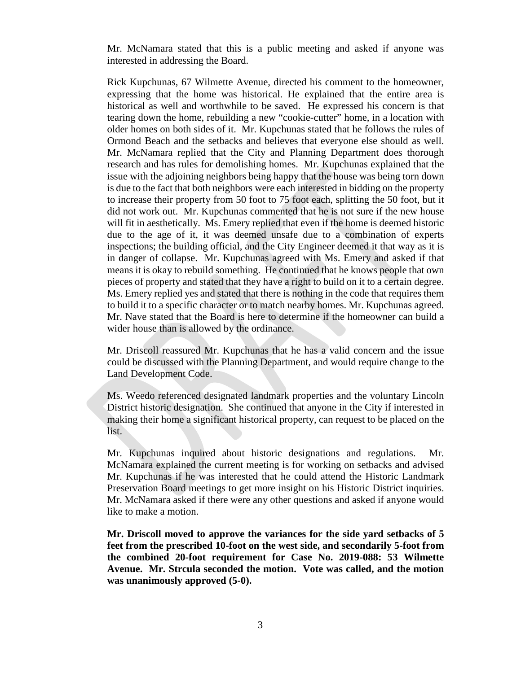Mr. McNamara stated that this is a public meeting and asked if anyone was interested in addressing the Board.

Rick Kupchunas, 67 Wilmette Avenue, directed his comment to the homeowner, expressing that the home was historical. He explained that the entire area is historical as well and worthwhile to be saved. He expressed his concern is that tearing down the home, rebuilding a new "cookie-cutter" home, in a location with older homes on both sides of it. Mr. Kupchunas stated that he follows the rules of Ormond Beach and the setbacks and believes that everyone else should as well. Mr. McNamara replied that the City and Planning Department does thorough research and has rules for demolishing homes. Mr. Kupchunas explained that the issue with the adjoining neighbors being happy that the house was being torn down is due to the fact that both neighbors were each interested in bidding on the property to increase their property from 50 foot to 75 foot each, splitting the 50 foot, but it did not work out. Mr. Kupchunas commented that he is not sure if the new house will fit in aesthetically. Ms. Emery replied that even if the home is deemed historic due to the age of it, it was deemed unsafe due to a combination of experts inspections; the building official, and the City Engineer deemed it that way as it is in danger of collapse. Mr. Kupchunas agreed with Ms. Emery and asked if that means it is okay to rebuild something. He continued that he knows people that own pieces of property and stated that they have a right to build on it to a certain degree. Ms. Emery replied yes and stated that there is nothing in the code that requires them to build it to a specific character or to match nearby homes. Mr. Kupchunas agreed. Mr. Nave stated that the Board is here to determine if the homeowner can build a wider house than is allowed by the ordinance.

Mr. Driscoll reassured Mr. Kupchunas that he has a valid concern and the issue could be discussed with the Planning Department, and would require change to the Land Development Code.

Ms. Weedo referenced designated landmark properties and the voluntary Lincoln District historic designation. She continued that anyone in the City if interested in making their home a significant historical property, can request to be placed on the list.

Mr. Kupchunas inquired about historic designations and regulations. Mr. McNamara explained the current meeting is for working on setbacks and advised Mr. Kupchunas if he was interested that he could attend the Historic Landmark Preservation Board meetings to get more insight on his Historic District inquiries. Mr. McNamara asked if there were any other questions and asked if anyone would like to make a motion.

**Mr. Driscoll moved to approve the variances for the side yard setbacks of 5 feet from the prescribed 10-foot on the west side, and secondarily 5-foot from the combined 20-foot requirement for Case No. 2019-088: 53 Wilmette Avenue. Mr. Strcula seconded the motion. Vote was called, and the motion was unanimously approved (5-0).**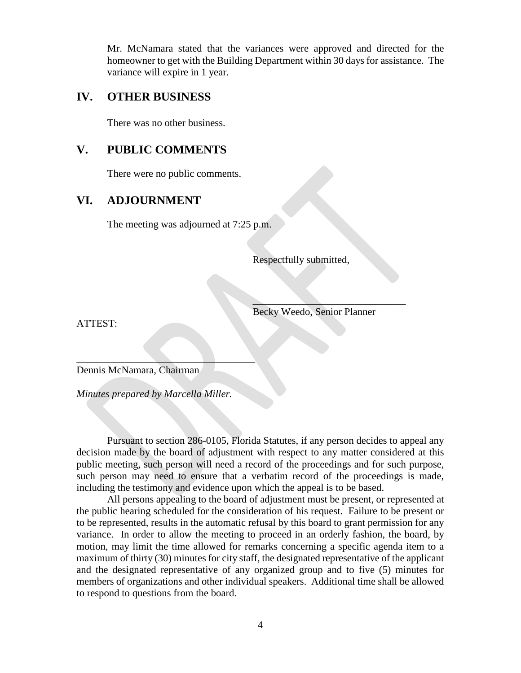Mr. McNamara stated that the variances were approved and directed for the homeowner to get with the Building Department within 30 days for assistance. The variance will expire in 1 year.

### **IV. OTHER BUSINESS**

There was no other business.

# **V. PUBLIC COMMENTS**

There were no public comments.

# **VI. ADJOURNMENT**

The meeting was adjourned at 7:25 p.m.

Respectfully submitted,

Becky Weedo, Senior Planner

 $\mathcal{L}=\mathcal{L}=\mathcal{L}=\mathcal{L}=\mathcal{L}=\mathcal{L}=\mathcal{L}=\mathcal{L}=\mathcal{L}=\mathcal{L}=\mathcal{L}=\mathcal{L}=\mathcal{L}=\mathcal{L}=\mathcal{L}=\mathcal{L}=\mathcal{L}=\mathcal{L}=\mathcal{L}=\mathcal{L}=\mathcal{L}=\mathcal{L}=\mathcal{L}=\mathcal{L}=\mathcal{L}=\mathcal{L}=\mathcal{L}=\mathcal{L}=\mathcal{L}=\mathcal{L}=\mathcal{L}=\mathcal{L}=\mathcal{L}=\mathcal{L}=\mathcal{L}=\mathcal{L}=\mathcal{$ 

ATTEST:

 $\mathcal{L}=\mathcal{L}=\mathcal{L}=\mathcal{L}=\mathcal{L}=\mathcal{L}=\mathcal{L}=\mathcal{L}=\mathcal{L}=\mathcal{L}=\mathcal{L}=\mathcal{L}=\mathcal{L}=\mathcal{L}=\mathcal{L}=\mathcal{L}=\mathcal{L}=\mathcal{L}=\mathcal{L}=\mathcal{L}=\mathcal{L}=\mathcal{L}=\mathcal{L}=\mathcal{L}=\mathcal{L}=\mathcal{L}=\mathcal{L}=\mathcal{L}=\mathcal{L}=\mathcal{L}=\mathcal{L}=\mathcal{L}=\mathcal{L}=\mathcal{L}=\mathcal{L}=\mathcal{L}=\mathcal{$ Dennis McNamara, Chairman

*Minutes prepared by Marcella Miller.*

Pursuant to section 286-0105, Florida Statutes, if any person decides to appeal any decision made by the board of adjustment with respect to any matter considered at this public meeting, such person will need a record of the proceedings and for such purpose, such person may need to ensure that a verbatim record of the proceedings is made, including the testimony and evidence upon which the appeal is to be based.

All persons appealing to the board of adjustment must be present, or represented at the public hearing scheduled for the consideration of his request. Failure to be present or to be represented, results in the automatic refusal by this board to grant permission for any variance. In order to allow the meeting to proceed in an orderly fashion, the board, by motion, may limit the time allowed for remarks concerning a specific agenda item to a maximum of thirty (30) minutes for city staff, the designated representative of the applicant and the designated representative of any organized group and to five (5) minutes for members of organizations and other individual speakers. Additional time shall be allowed to respond to questions from the board.